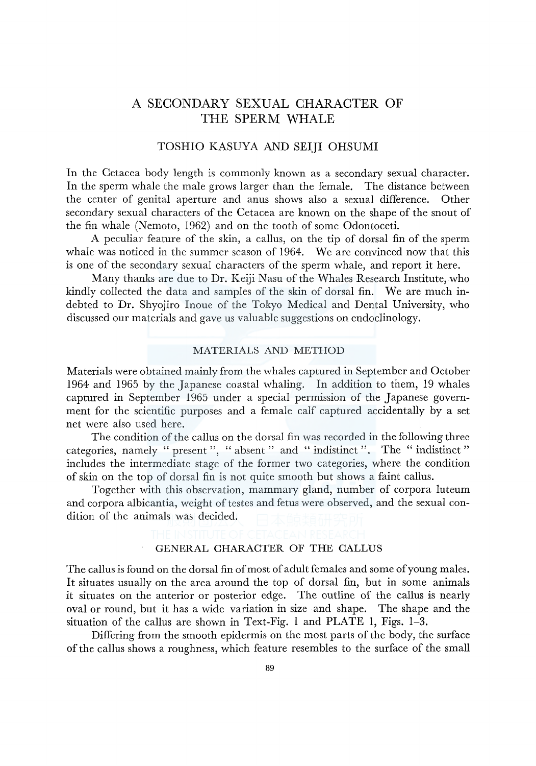# A SECONDARY SEXUAL CHARACTER OF THE SPERM WHALE

## TOSHIO KASUYA AND SEIJI OHSUMI

In the Cetacea body length is commonly known as a secondary sexual character. In the sperm whale the male grows larger than the female. The distance between the center of genital aperture and anus shows also a sexual difference. Other secondary sexual characters of the Cetacea are known on the shape of the snout of the fin whale (Nemoto, 1962) and on the tooth of some Odontoceti.

A peculiar feature of the skin, a callus, on the tip of dorsal fin of the sperm whale was noticed in the summer season of 1964. We are convinced now that this is one of the secondary sexual characters of the sperm whale, and report it here.

Many thanks are due to Dr. Keiji Nasu of the Whales Research Institute, who kindly collected the data and samples of the skin of dorsal fin. We are much indebted to Dr. Shyojiro Inoue of the Tokyo Medical and Dental University, who discussed our materials and gave us valuable suggestions on endoclinology.

#### MATERIALS AND METHOD

Materials were obtained mainly from the whales captured in September and October 1964 and 1965 by the Japanese coastal whaling. In addition to them, 19 whales captured in September 1965 under a special permission of the Japanese government for the scientific purposes and a female calf captured accidentally by a set net were also used here.

The condition of the callus on the dorsal fin was recorded in the following three categories, namely " present ", " absent " and " indistinct ". The " indistinct " includes the intermediate stage of the former two categories, where the condition of skin on the top of dorsal fin is not quite smooth but shows a faint callus.

Together with this observation, mammary gland, number of corpora luteum and corpora albicantia, weight of testes and fetus were observed, and the sexual condition of the animals was decided.

# GENERAL CHARACTER OF THE CALLUS

The callus is found on the dorsal fin of most of adult females and some of young males. It situates usually on the area around the top of dorsal fin, but in some animals it situates on the anterior or posterior edge. The outline of the callus is nearly oval or round, but it has a wide variation in size and shape. The shape and the situation of the callus are shown in Text-Fig. 1 and PLATE 1, Figs. 1-3.

Differing from the smooth epidermis on the most parts of the body, the surface of the callus shows a roughness, which feature resembles to the surface of the small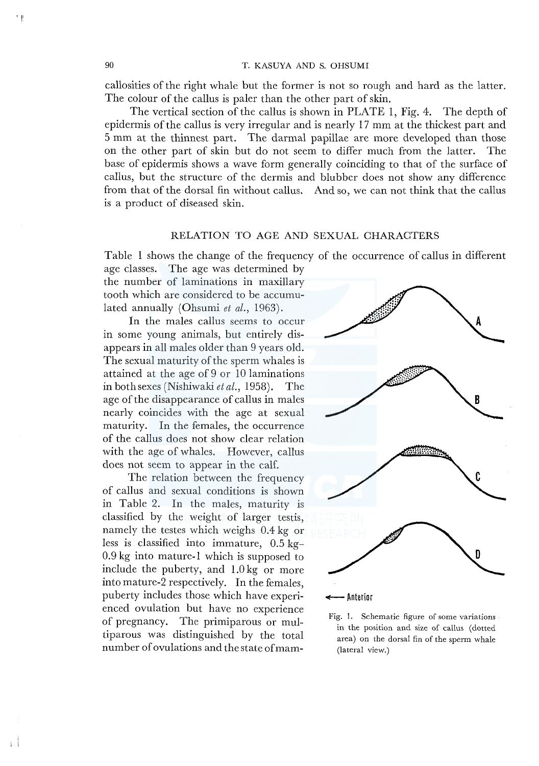callosities of the right whale but the former is not so rough and hard as the latter. The colour of the callus is paler than the other part of skin.

The vertical section of the callus is shown in PLATE I, Fig. 4. The depth of epidermis of the callus is very irregular and is nearly I 7 mm at the thickest part and 5 mm at the thinnest part. The darmal papillae are more developed than those on the other part of skin but do not seem to differ much from the latter. The base of epidermis shows a wave form generally coinciding to that of the surface of callus, but the structure of the dermis and blubber does not show any difference from that of the dorsal fin without callus. And so, we can not think that the callus is a product of diseased skin.

### RELATION TO AGE AND SEXUAL CHARACTERS

Table I shows the change of the frequency of the occurrence of callus in different

age classes. The age was determined by the number of laminations in maxillary tooth which are considered to be accumulated annually (Ohsumi et al., 1963).

In the males callus seems to occur in some young animals, but entirely disappears in all males older than 9 years old. The sexual maturity of the sperm whales is attained at the age of 9 *or* 10 laminations in both sexes (Nishiwaki *et al.,* 1958). The age of the disappearance of callus in males nearly coincides with the age at sexual maturity. In the females, the occurrence of the callus does not show clear relation with the age of whales. However, callus does not seem to appear in the calf.

The relation between the frequency of callus and sexual conditions is shown in Table 2. In the males, maturity is classified by the weight of larger testis, namely the testes which weighs 0.4 kg or less is classified into immature, 0.5 kg-0.9 kg into mature-I which is supposed to include the puberty, and 1.0 kg or more into mature-2 respectively. In the females, puberty includes those which have experienced ovulation but have no experience of pregnancy. The primiparous or multiparous was distinguished by the total number of ovulations and the state of mam-



Fig. 1. Schematic figure of some variations in the position and size of callus (dotted area) on the dorsal fin of the sperm whale (lateral view.)

 $, \mathbb{I}$ 

 $\cdot$  i  $\cdot$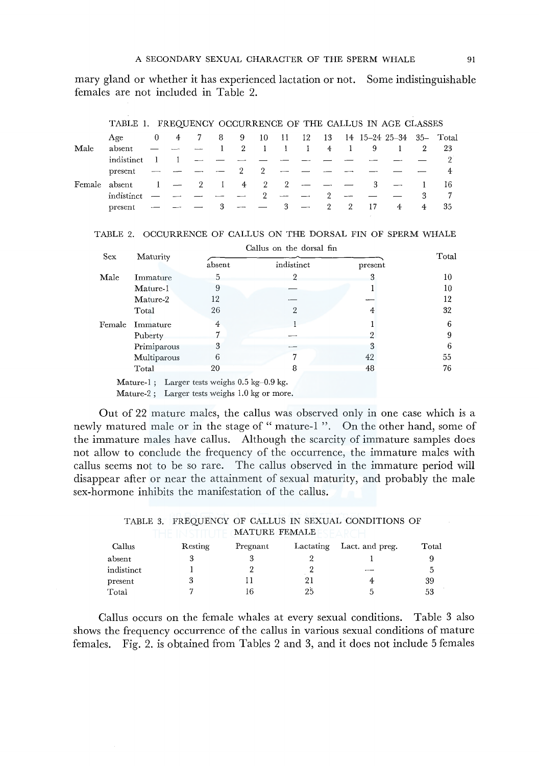mary gland or whether it has experienced lactation or not. Some indistinguishable females are not included in Table 2.

|               | TADLE I. FREQUENCI OCCURRENCE OF THE CALLUS IN AGE CLASSES |   |                          |   |              |             |                |                           |                          |                |     |    |                          |              |     |
|---------------|------------------------------------------------------------|---|--------------------------|---|--------------|-------------|----------------|---------------------------|--------------------------|----------------|-----|----|--------------------------|--------------|-----|
|               | Age                                                        | 0 | 4                        |   | 8            | 9           | 10             | - 11                      | - 12                     | - 13           |     |    | 14 15–24 25–34 35– Total |              |     |
| Male          | absent                                                     |   |                          |   |              | $2^{\circ}$ | $\blacksquare$ | $\sim 10$                 | $\mathbf{1}$             | $\overline{4}$ | - 1 | 9  |                          | 2            | -23 |
|               | indistinct                                                 |   |                          |   |              |             |                |                           |                          |                |     |    |                          |              |     |
|               | present                                                    |   |                          |   |              | 2           |                |                           |                          |                |     |    |                          |              |     |
| Female absent |                                                            |   | $\overline{\phantom{m}}$ | 2 | $\mathbf{1}$ | 4 2         |                | $\overline{2}$            |                          |                |     | З  |                          | $\mathbf{1}$ | 16  |
|               | indistinct                                                 |   |                          |   |              |             | 2              | $\sim$                    |                          | 2              |     |    |                          | 3            |     |
|               | present                                                    |   |                          |   |              | $-$         |                | $\overline{\phantom{a}3}$ | $\overline{\phantom{a}}$ | $\overline{2}$ | -2  | 17 | -4                       | 4            | 35  |

## TABLE 1. FREQUENCY OCCURRENCE OF THE CALLUS IN AGE CLASSES

| TABLE 2. OCCURRENCE OF CALLUS ON THE DORSAL FIN OF SPERM WHALE |  |  |  |  |  |  |  |  |
|----------------------------------------------------------------|--|--|--|--|--|--|--|--|
|----------------------------------------------------------------|--|--|--|--|--|--|--|--|

|            |                                                                                                                                                                      | Callus on the dorsal fin |                |         |       |
|------------|----------------------------------------------------------------------------------------------------------------------------------------------------------------------|--------------------------|----------------|---------|-------|
| <b>Sex</b> | Maturity                                                                                                                                                             | absent                   | indistinct     | present | Total |
| Male       | Immature                                                                                                                                                             | 5                        |                | 3       | 10    |
|            | Mature-1                                                                                                                                                             | 9                        |                |         | 10    |
|            | Mature-2                                                                                                                                                             | 12                       |                |         | 12    |
|            | Total                                                                                                                                                                | 26                       | $\overline{2}$ | 4       | 32    |
| Female     | Immature                                                                                                                                                             | 4                        |                |         | 6     |
|            | Puberty                                                                                                                                                              |                          |                | റ       | 9     |
|            | Primiparous                                                                                                                                                          | 3                        |                | 3       | 6     |
|            | Multiparous                                                                                                                                                          | 6                        |                | 42      | 55    |
|            | Total                                                                                                                                                                | 20                       | 8              | 48      | 76    |
|            | Mature-1; Larger tests weighs $0.5 \text{ kg}$ -0.9 kg.<br>$M_{\rm eff}$ $\Omega_{\rm eff}$ $\Gamma$ and $\Omega_{\rm eff}$ and $\Omega_{\rm eff}$ $\Gamma$ $\Omega$ |                          |                |         |       |

Mature-2 ; Larger tests weighs 1.0 kg or more.

Out of 22 mature males, the callus was observed only in one case which is a newly matured male or in the stage of " mature-1 ". On the other hand, some of the immature males have callus. Although the scarcity of immature samples does not allow to conclude the frequency of the occurrence, the immature males with callus seems not to be so rare. The callus observed in the immature period will disappear after or near the attainment of sexual maturity, and probably the male sex-hormone inhibits the manifestation of the callus.

#### TABLE 3. FREQUENCY OF CALLUS IN SEXUAL CONDITIONS OF THE IN STITUTE MATURE FEMALE ESEARCH

| Callus     | Resting | Pregnant | Lactating | Lact. and preg. | Total |
|------------|---------|----------|-----------|-----------------|-------|
| absent     |         |          |           |                 |       |
| indistinct |         |          |           | $\sim$          |       |
| present    |         |          | 21        | 4               | 39    |
| Total      |         | 16       | 25        |                 | 53    |

Callus occurs on the female whales at every sexual conditions. Table 3 also shows the frequency occurrence of the callus in various sexual conditions of mature females. Fig. 2. is obtained from Tables 2 and 3, and it does not include 5 females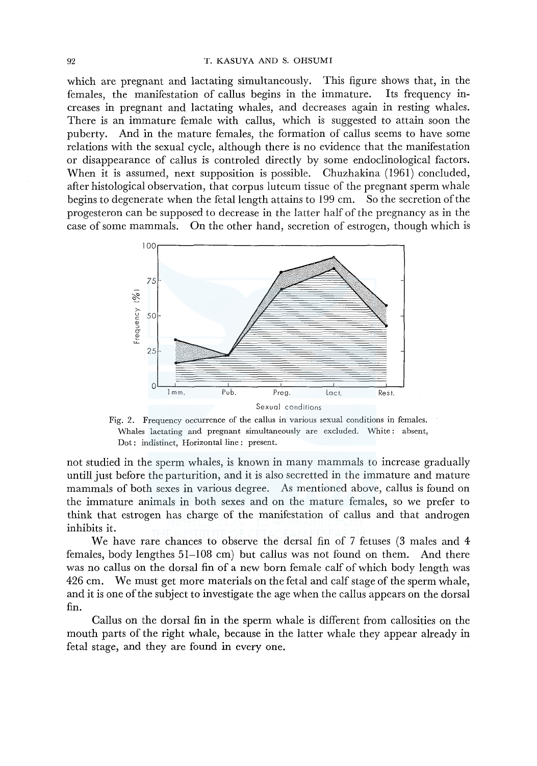#### 92 T. KASUYA AND S. OHSUMI

which are pregnant and lactating simultaneously. This figure shows that, in the females, the manifestation of callus begins in the immature. Its frequency infemales, the manifestation of callus begins in the immature. creases in pregnant and lactating whales, and decreases again in resting whales. There is an immature female with callus, which is suggested to attain soon the puberty. And in the mature females, the formation of callus seems to have some relations with the sexual cycle, although there is no evidence that the manifestation or disappearance of callus is controled directly by some endoclinological factors. When it is assumed, next supposition is possible. Chuzhakina (1961) concluded, after histological observation, that corpus luteum tissue of the pregnant sperm whale begins to degenerate when the fetal length attains to 199 cm. So the secretion of the progesteron can be supposed to decrease in the latter half of the pregnancy as in the case of some mammals. On the other hand, secretion of estrogen, though which is



Fig. 2. Frequency occurrence of the callus in various sexual conditions in females. Whales lactating and pregnant simultaneously are excluded. White: absent, Dot: indistinct, Horizontal line: present.

not studied in the sperm whales, is known in many mammals to increase gradually untill just before the parturition, and it is also secretted in the immature and mature mammals of both sexes in various degree. As mentioned above, callus is found on the immature animals in both sexes and on the mature females, so we prefer to think that estrogen has charge of the manifestation of callus and that androgen inhibits it.

We have rare chances to observe the dersal fin of 7 fetuses (3 males and 4 females, body lengthes 51-108 cm) but callus was not found on them. And there was no callus on the dorsal fin of a new born female calf of which body length was 426 cm. We must get more materials on the fetal and calf stage of the sperm whale, and it is one of the subject to investigate the age when the callus appears on the dorsal fin.

Callus on the dorsal fin in the sperm whale is different from callosities on the mouth parts of the right whale, because in the latter whale they appear already in fetal stage, and they are found in every one.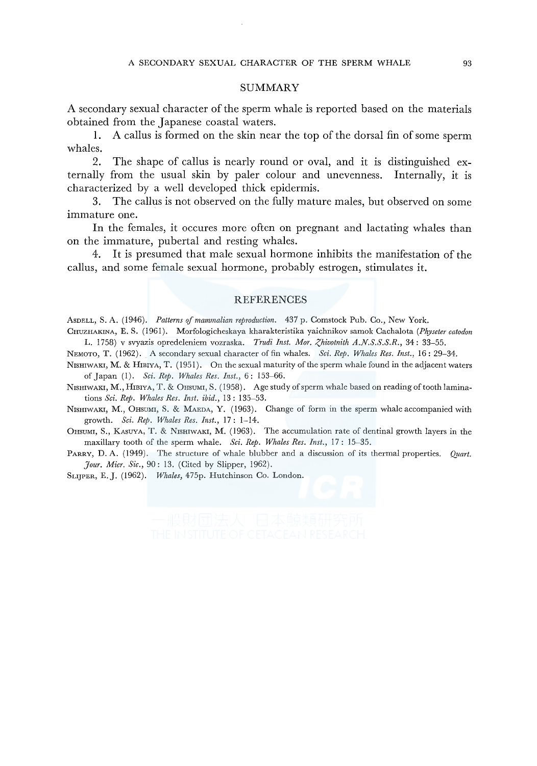#### SUMMARY

A secondary sexual character of the sperm whale is reported based on the materials obtained from the Japanese coastal waters.

1. A callus is formed on the skin near the top of the dorsal fin of some sperm whales.

2. The shape of callus is nearly round or oval, and it is distinguished externally from the usual skin by paler colour and unevenness. Internally, it is characterized by a well developed thick epidermis.

3. The callus is not observed on the fully mature males, but observed on some immature one.

In the females, it occures more often on pregnant and lactating whales than on the immature, pubertal and resting whales.

4. It is presumed that male sexual hormone inhibits the manifestation of the callus, and some female sexual hormone, probably estrogen, stimulates it.

#### REFERENCES

AsDELL, S. A. ( 1946). *Patterns of mammalian reproduction.* 437 p. Comstock Pub. Co., New York.

CHUZHAKINA, E. S. ( 1961). Morfologicheskaya kharakteristika yaichnikov samok Cachalota *(Physeter catodon*  L. 1758) v svyazis opredeleniem vozraska. *Trudi Inst. Mor. Zhivotnith A.N.S.S.S.R.*, 34: 33-55.

NEMOTO, T. (1962). A secondary sexual character of fin whales. *Sci. Rep. Whales Res. Inst.,* 16: 29-34.

NISHIWAKI, M. & HIBIYA, T. (1951). On the sexual maturity of the sperm whale found in the adjacent waters of Japan (1). *Sci. Rep. Whales Res. Inst.,* 6: 153-66.

NISHIWAKI, M., HIBIYA, T. & OHSUMI, S. (1958). Age study of sperm whale based on reading of tooth laminations *Sci. Rep. Whales Res. Inst. ibid.,* 13: 135-53.

NISHIWAKI, M., OHSUMI, S. & MAEDA, Y. (1963). Change of form in the sperm whale accompanied with growth. *Sci. Rep. Whales Res. Inst.,* 17: 1-14.

OHSUMI, S., KASUYA, T. & NISHIWAKI, M. (1963). The accumulation rate of dentinal growth layers in the maxillary tooth of the sperm whale. *Sci. Rep. Whales Res. Inst.,* 17: 15-35.

PARRY, D. A. (1949). The structure of whale blubber and a discussion of its thermal properties. *Quart. ]our. Mier. Sic.,* 90: 13. (Cited by Slipper, 1962).

SLIJPER, E.J. (1962). *Whales,* 475p. Hutchinson Co. London.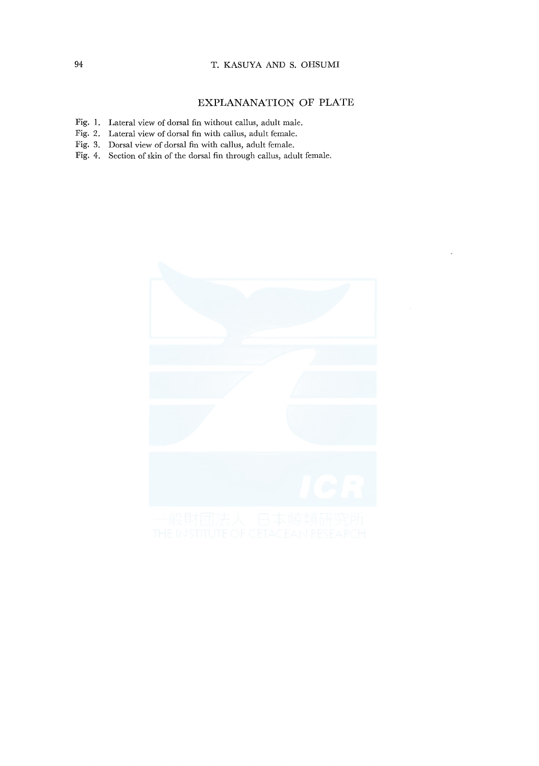## 94 T. KASUYA AND S. OHSUMI

## **EXPLANANATION OF PLATE**

- Fig. **1.** Lateral view of dorsal fin without callus, adult male.
- Fig. 2. Lateral view of dorsal fin with callus, adult female.
- Fig. 3. Dorsal view of dorsal fin with callus, adult female.
- Fig. 4. Section of skin of the dorsal fin through callus, adult female.